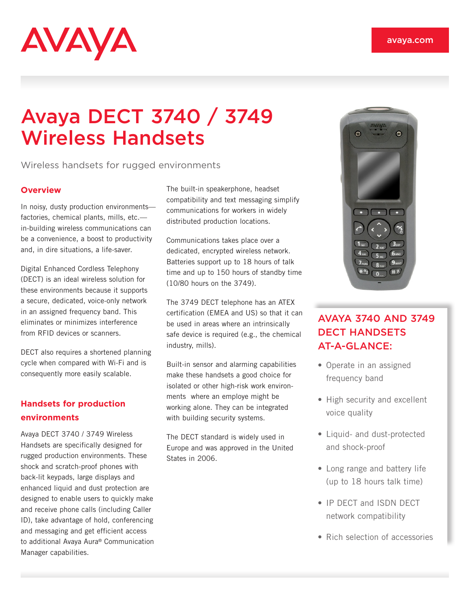# **AVAYA**

# Avaya DECT 3740 / 3749 Wireless Handsets

Wireless handsets for rugged environments

## **Overview**

In noisy, dusty production environments factories, chemical plants, mills, etc. in-building wireless communications can be a convenience, a boost to productivity and, in dire situations, a life-saver.

Digital Enhanced Cordless Telephony (DECT) is an ideal wireless solution for these environments because it supports a secure, dedicated, voice-only network in an assigned frequency band. This eliminates or minimizes interference from RFID devices or scanners.

DECT also requires a shortened planning cycle when compared with Wi-Fi and is consequently more easily scalable.

# **Handsets for production environments**

Avaya DECT 3740 / 3749 Wireless Handsets are specifically designed for rugged production environments. These shock and scratch-proof phones with back-lit keypads, large displays and enhanced liquid and dust protection are designed to enable users to quickly make and receive phone calls (including Caller ID), take advantage of hold, conferencing and messaging and get efficient access to additional Avaya Aura® Communication Manager capabilities.

The built-in speakerphone, headset compatibility and text messaging simplify communications for workers in widely distributed production locations.

Communications takes place over a dedicated, encrypted wireless network. Batteries support up to 18 hours of talk time and up to 150 hours of standby time (10/80 hours on the 3749).

The 3749 DECT telephone has an ATEX certification (EMEA and US) so that it can be used in areas where an intrinsically safe device is required (e.g., the chemical industry, mills).

Built-in sensor and alarming capabilities make these handsets a good choice for isolated or other high-risk work environments where an employe might be working alone. They can be integrated with building security systems.

The DECT standard is widely used in Europe and was approved in the United States in 2006.



# AVAYA 3740 AND 3749 DECT HANDSETS AT-A-GLANCE:

- Operate in an assigned frequency band
- High security and excellent voice quality
- Liquid- and dust-protected and shock-proof
- Long range and battery life (up to 18 hours talk time)
- IP DECT and ISDN DECT network compatibility
- Rich selection of accessories